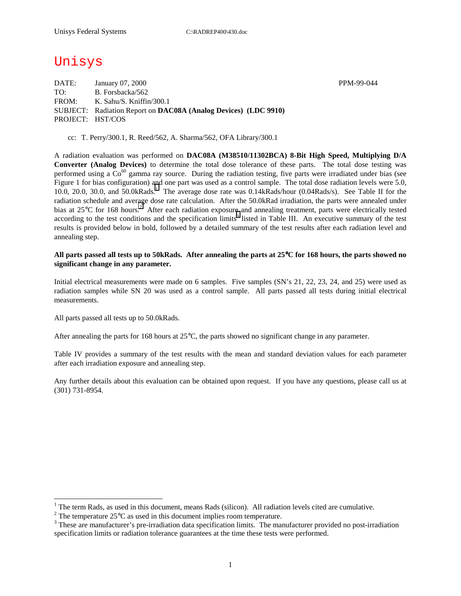# Unisys

DATE: January 07, 2000 **PPM-99-044** TO: B. Forsbacka/562 FROM: K. Sahu/S. Kniffin/300.1 SUBJECT: Radiation Report on **DAC08A (Analog Devices) (LDC 9910)** PROJECT: HST/COS

cc: T. Perry/300.1, R. Reed/562, A. Sharma/562, OFA Library/300.1

A radiation evaluation was performed on **DAC08A (M38510/11302BCA) 8-Bit High Speed, Multiplying D/A Converter (Analog Devices)** to determine the total dose tolerance of these parts. The total dose testing was performed using a  $Co^{60}$  gamma ray source. During the radiation testing, five parts were irradiated under bias (see Figure 1 for bias configuration) and one part was used as a control sample. The total dose radiation levels were 5.0, 10.0, 20.0, 30.0, and 50.0kRads.<sup>1</sup> The average dose rate was 0.14kRads/hour (0.04Rads/s). See Table II for the radiation schedule and average dose rate calculation. After the 50.0kRad irradiation, the parts were annealed under bias at  $25^{\circ}$ C for 168 hours.<sup>2</sup> After each radiation exposure and annealing treatment, parts were electrically tested according to the test conditions and the specification limits<sup>3</sup> listed in Table III. An executive summary of the test results is provided below in bold, followed by a detailed summary of the test results after each radiation level and annealing step.

### **All parts passed all tests up to 50kRads. After annealing the parts at 25**°**C for 168 hours, the parts showed no significant change in any parameter.**

Initial electrical measurements were made on 6 samples. Five samples (SN's 21, 22, 23, 24, and 25) were used as radiation samples while SN 20 was used as a control sample. All parts passed all tests during initial electrical measurements.

All parts passed all tests up to 50.0kRads.

 $\overline{a}$ 

After annealing the parts for 168 hours at  $25^{\circ}$ C, the parts showed no significant change in any parameter.

Table IV provides a summary of the test results with the mean and standard deviation values for each parameter after each irradiation exposure and annealing step.

Any further details about this evaluation can be obtained upon request. If you have any questions, please call us at (301) 731-8954.

<sup>1</sup> The term Rads, as used in this document, means Rads (silicon). All radiation levels cited are cumulative.

1

<sup>&</sup>lt;sup>2</sup> The temperature 25 $^{\circ}$ C as used in this document implies room temperature.  $^3$  These are manufacturer's are irrediction date apositionism limits. The manufacturer's

<sup>&</sup>lt;sup>3</sup> These are manufacturer's pre-irradiation data specification limits. The manufacturer provided no post-irradiation specification limits or radiation tolerance guarantees at the time these tests were performed.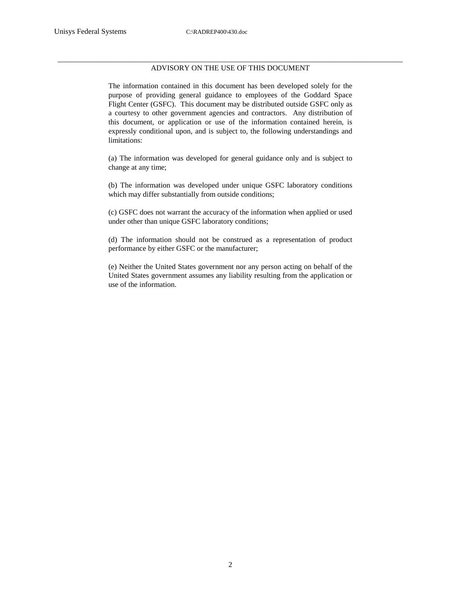#### \_\_\_\_\_\_\_\_\_\_\_\_\_\_\_\_\_\_\_\_\_\_\_\_\_\_\_\_\_\_\_\_\_\_\_\_\_\_\_\_\_\_\_\_\_\_\_\_\_\_\_\_\_\_\_\_\_\_\_\_\_\_\_\_\_\_\_\_\_\_\_\_\_\_\_\_\_\_\_\_\_\_\_\_\_\_\_\_\_\_\_ ADVISORY ON THE USE OF THIS DOCUMENT

The information contained in this document has been developed solely for the purpose of providing general guidance to employees of the Goddard Space Flight Center (GSFC). This document may be distributed outside GSFC only as a courtesy to other government agencies and contractors. Any distribution of this document, or application or use of the information contained herein, is expressly conditional upon, and is subject to, the following understandings and limitations:

(a) The information was developed for general guidance only and is subject to change at any time;

(b) The information was developed under unique GSFC laboratory conditions which may differ substantially from outside conditions;

(c) GSFC does not warrant the accuracy of the information when applied or used under other than unique GSFC laboratory conditions;

(d) The information should not be construed as a representation of product performance by either GSFC or the manufacturer;

(e) Neither the United States government nor any person acting on behalf of the United States government assumes any liability resulting from the application or use of the information.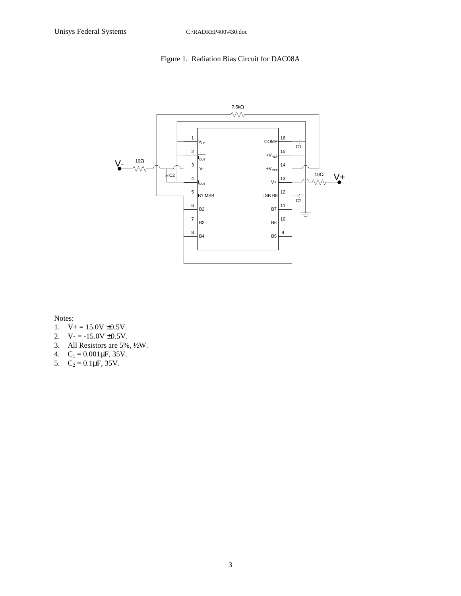# Figure 1. Radiation Bias Circuit for DAC08A



Notes:

- 1.  $V_+ = 15.0V \pm 0.5V$ .
- 2.  $V = -15.0V \pm 0.5V$ .
- 3. All Resistors are 5%, ½W.
- 4.  $C_1 = 0.001 \mu F$ , 35V.
- 5.  $C_2 = 0.1 \mu F$ , 35V.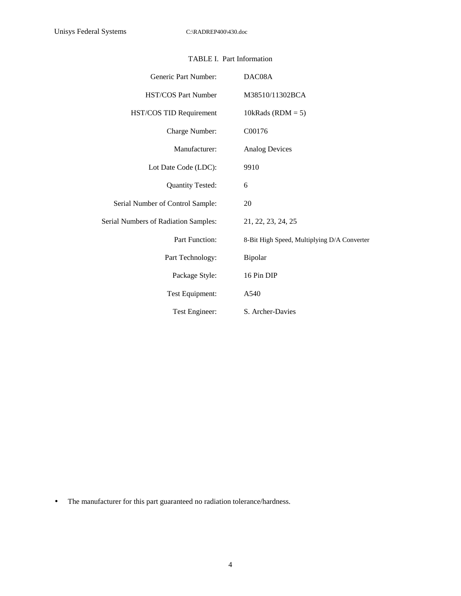| Generic Part Number:                 | DAC08A                                      |
|--------------------------------------|---------------------------------------------|
| <b>HST/COS Part Number</b>           | M38510/11302BCA                             |
| HST/COS TID Requirement              | 10kRads (RDM = $5$ )                        |
| Charge Number:                       | C00176                                      |
| Manufacturer:                        | <b>Analog Devices</b>                       |
| Lot Date Code (LDC):                 | 9910                                        |
| <b>Quantity Tested:</b>              | 6                                           |
| Serial Number of Control Sample:     | 20                                          |
| Serial Numbers of Radiation Samples: | 21, 22, 23, 24, 25                          |
| Part Function:                       | 8-Bit High Speed, Multiplying D/A Converter |
| Part Technology:                     | Bipolar                                     |
| Package Style:                       | 16 Pin DIP                                  |
| Test Equipment:                      | A540                                        |
| Test Engineer:                       | S. Archer-Davies                            |

## TABLE I. Part Information

• The manufacturer for this part guaranteed no radiation tolerance/hardness.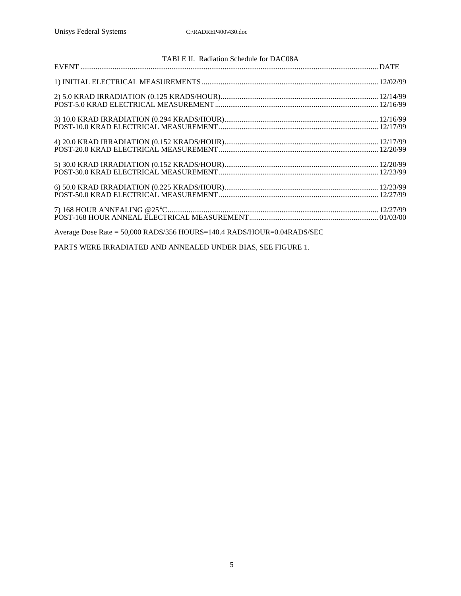| TABLE II. Radiation Schedule for DAC08A                                |  |
|------------------------------------------------------------------------|--|
|                                                                        |  |
|                                                                        |  |
|                                                                        |  |
|                                                                        |  |
|                                                                        |  |
|                                                                        |  |
|                                                                        |  |
|                                                                        |  |
|                                                                        |  |
|                                                                        |  |
|                                                                        |  |
|                                                                        |  |
|                                                                        |  |
|                                                                        |  |
|                                                                        |  |
|                                                                        |  |
|                                                                        |  |
| Average Dose Rate = 50,000 RADS/356 HOURS=140.4 RADS/HOUR=0.04RADS/SEC |  |
|                                                                        |  |

PARTS WERE IRRADIATED AND ANNEALED UNDER BIAS, SEE FIGURE 1.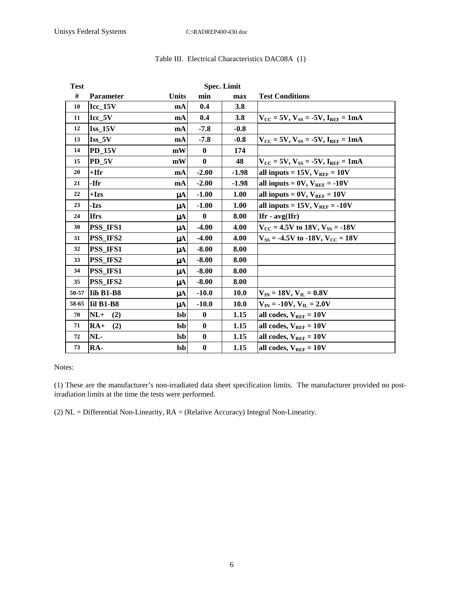| <b>Test</b> |                          |                | <b>Spec. Limit</b> |             |                                                                         |  |  |  |  |  |
|-------------|--------------------------|----------------|--------------------|-------------|-------------------------------------------------------------------------|--|--|--|--|--|
| #           | <b>Parameter</b>         | <b>Units</b>   | min                | max         | <b>Test Conditions</b>                                                  |  |  |  |  |  |
| 10          | $\text{Icc}\_15\text{V}$ | mA             | 0.4                | 3.8         |                                                                         |  |  |  |  |  |
| 11          | $Icc_5V$                 | mA             | 0.4                | 3.8         | $V_{CC}$ = 5V, $V_{SS}$ = -5V, $I_{REF}$ = 1mA                          |  |  |  |  |  |
| 12          | $Iss$ 15V                | mA             | $-7.8$             | $-0.8$      |                                                                         |  |  |  |  |  |
| 13          | Iss 5V                   | mA             | $-7.8$             | $-0.8$      | $V_{\text{CC}} = 5V$ , $V_{\text{SS}} = -5V$ , $I_{\text{REF}} = 1mA$   |  |  |  |  |  |
| 14          | <b>PD 15V</b>            | mW             | $\mathbf{0}$       | 174         |                                                                         |  |  |  |  |  |
| 15          | PD 5V                    | mW             | $\mathbf{0}$       | 48          | $V_{\text{CC}} = 5V, V_{\text{SS}} = -5V, I_{\text{REF}} = 1 \text{mA}$ |  |  |  |  |  |
| 20          | +Ifr                     | mA             | $-2.00$            | $-1.98$     | all inputs = $15V$ , $V_{REF} = 10V$                                    |  |  |  |  |  |
| 21          | -Ifr                     | mA             | $-2.00$            | $-1.98$     | all inputs = $0V$ , $V_{REF}$ = -10V                                    |  |  |  |  |  |
| 22          | $+Izs$                   | μA             | $-1.00$            | 1.00        | all inputs = $0V$ , $V_{REF} = 10V$                                     |  |  |  |  |  |
| 23          | -Izs                     | uA             | $-1.00$            | 1.00        | all inputs = $15V$ , $V_{REF}$ = $-10V$                                 |  |  |  |  |  |
| 24          | <b>Ifrs</b>              | μA             | $\mathbf{0}$       | 8.00        | $If r - avg(If r)$                                                      |  |  |  |  |  |
| 30          | <b>PSS IFS1</b>          | μA             | $-4.00$            | 4.00        | $V_{CC}$ = 4.5V to 18V, $V_{SS}$ = -18V                                 |  |  |  |  |  |
| 31          | <b>PSS IFS2</b>          | μA             | $-4.00$            | 4.00        | $V_{SS}$ = -4.5V to -18V, $V_{CC}$ = 18V                                |  |  |  |  |  |
| 32          | <b>PSS IFS1</b>          | μA             | $-8.00$            | 8.00        |                                                                         |  |  |  |  |  |
| 33          | <b>PSS IFS2</b>          | $\mu A$        | $-8.00$            | 8.00        |                                                                         |  |  |  |  |  |
| 34          | <b>PSS IFS1</b>          | μA             | $-8.00$            | 8.00        |                                                                         |  |  |  |  |  |
| 35          | <b>PSS IFS2</b>          | μA             | $-8.00$            | 8.00        |                                                                         |  |  |  |  |  |
| 50-57       | Iih B1-B8                | μA             | $-10.0$            | <b>10.0</b> | $V_{IN} = 18V, V_{IL} = 0.8V$                                           |  |  |  |  |  |
| 58-65       | <b>Iil B1-B8</b>         | μA             | $-10.0$            | 10.0        | $V_{IN} = -10V, V_{IL} = 2.0V$                                          |  |  |  |  |  |
| 70          | $NL+$<br>(2)             | <b>Isb</b>     | $\mathbf{0}$       | 1.15        | all codes, $V_{REF} = 10V$                                              |  |  |  |  |  |
| 71          | $RA+$<br>(2)             | <b>Isb</b>     | $\mathbf{0}$       | 1.15        | all codes, $V_{REF} = 10V$                                              |  |  |  |  |  |
| 72          | NL-                      | $\mathbf{lsb}$ | $\mathbf{0}$       | 1.15        | all codes, $V_{REF} = 10V$                                              |  |  |  |  |  |
| 73          | RA-                      | <b>lsb</b>     | $\bf{0}$           | 1.15        | all codes, $V_{REF} = 10V$                                              |  |  |  |  |  |

## Table III. Electrical Characteristics DAC08A (1)

Notes:

(1) These are the manufacturer's non-irradiated data sheet specification limits. The manufacturer provided no postirradiation limits at the time the tests were performed.

(2) NL = Differential Non-Linearity, RA = (Relative Accuracy) Integral Non-Linearity.